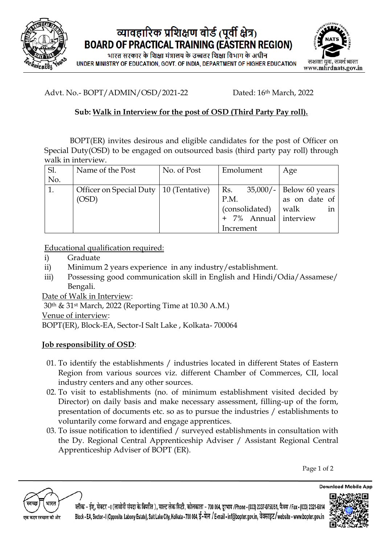

### व्यावहारिक प्रशिक्षण बोर्ड (पूर्वी क्षेत्र) **BOARD OF PRACTICAL TRAINING (EASTERN REGION)**

भारत सरकार के शिक्षा मंत्रालय के उच्चतर शिक्षा विभाग के अधीन UNDER MINISTRY OF EDUCATION, GOVT. OF INDIA, DEPARTMENT OF HIGHER EDUCATION



Advt. No.- BOPT/ADMIN/OSD/2021-22 Dated: 16<sup>th</sup> March, 2022

### **Sub: Walk in Interview for the post of OSD (Third Party Pay roll).**

BOPT(ER) invites desirous and eligible candidates for the post of Officer on Special Duty(OSD) to be engaged on outsourced basis (third party pay roll) through walk in interview.

| Sl. | Name of the Post                         | No. of Post | Emolument                      | Age           |
|-----|------------------------------------------|-------------|--------------------------------|---------------|
| No. |                                          |             |                                |               |
| 1.  | Officer on Special Duty   10 (Tentative) |             | Rs. $35,000/ -$ Below 60 years |               |
|     | (OSD)                                    |             | P.M.                           | as on date of |
|     |                                          |             | (consolidated)                 | walk<br>1n    |
|     |                                          |             | + 7% Annual interview          |               |
|     |                                          |             | Increment                      |               |

Educational qualification required:

- i) Graduate
- ii) Minimum 2 years experience in any industry/establishment.
- iii) Possessing good communication skill in English and Hindi/Odia/Assamese/ Bengali.

Date of Walk in Interview:

30th & 31st March, 2022 (Reporting Time at 10.30 A.M.)

Venue of interview:

BOPT(ER), Block-EA, Sector-I Salt Lake , Kolkata- 700064

### **Job responsibility of OSD**:

- 01. To identify the establishments / industries located in different States of Eastern Region from various sources viz. different Chamber of Commerces, CII, local industry centers and any other sources.
- 02. To visit to establishments (no. of minimum establishment visited decided by Director) on daily basis and make necessary assessment, filling-up of the form, presentation of documents etc. so as to pursue the industries / establishments to voluntarily come forward and engage apprentices.
- 03. To issue notification to identified / surveyed establishments in consultation with the Dy. Regional Central Apprenticeship Adviser / Assistant Regional Central Apprenticeship Adviser of BOPT (ER).

Page 1 of 2



ल्लॅाक - ईए, सेक्टर -1 (लावोनी संपदा के विपरीत ), साल्ट लेक सिटी, कोलकाता - 700 064, दरभाष /Phone - (033) 2337-0750/51, फैक्स /Fax - (033) 2321-6814 Block - EA, Sector - I (Opposite, Labony Estate), Salt Lake City, Kolkata - 700 064, ई-मेल / E-mail - inf@bopter.gov.in, वेवसाइट/website - www.bopter.gov.in



**Download Mobile App**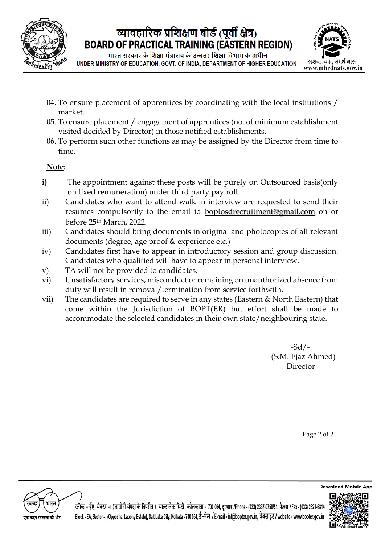

# व्यावहारिक प्रशिक्षण बोर्ड (पूर्वी क्षेत्र) **BOARD OF PRACTICAL TRAINING (EASTERN REGION)**

भारत सरकार के शिक्षा मंत्रालय के उच्चतर शिक्षा विभाग के अधीन UNDER MINISTRY OF EDUCATION, GOVT, OF INDIA, DEPARTMENT OF HIGHER EDUCATION



- 04. To ensure placement of apprentices by coordinating with the local institutions / market.
- 05. To ensure placement / engagement of apprentices (no. of minimum establishment visited decided by Director) in those notified establishments.
- 06. To perform such other functions as may be assigned by the Director from time to time.

#### **Note:**

- **i)** The appointment against these posts will be purely on Outsourced basis(only on fixed remuneration) under third party pay roll.
- ii) Candidates who want to attend walk in interview are requested to send their resumes compulsorily to the email id bop[tosdrecruitment@gmail.com](mailto:osdrecruitment@gmail.com) on or before 25th March, 2022.
- iii) Candidates should bring documents in original and photocopies of all relevant documents (degree, age proof & experience etc.)
- iv) Candidates first have to appear in introductory session and group discussion. Candidates who qualified will have to appear in personal interview.
- v) TA will not be provided to candidates.
- vi) Unsatisfactory services, misconduct or remaining on unauthorized absence from duty will result in removal/termination from service forthwith.
- vii) The candidates are required to serve in any states (Eastern & North Eastern) that come within the Jurisdiction of BOPT(ER) but effort shall be made to accommodate the selected candidates in their own state/neighbouring state.

 -Sd/- (S.M. Ejaz Ahmed) Director

Page 2 of 2

.<br>कदम स्वच्छता की ओर

ल्लॉक - ईए, सेक्टर -1 (लावोनी संपदा के विपरीत ), साल्ट लेक सिटी, कोलकाता - 700 064, दूरभाष /Phone - (033) 2337-0750/51, फैक्स /Fax - (033) 2321-6814 Block - EA, Sector - I (Opposite, Labony Estate), Salt Lake City, Kolkata - 700 064, ई-मेल / E-mail - inf@bopter.gov.in, वेवसाइट/website - www.bopter.gov.in



**Download Mobile App**